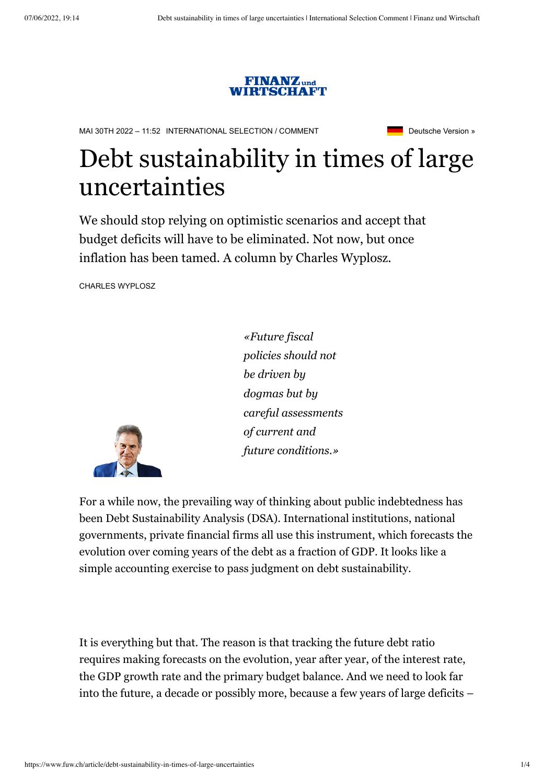

MAI 30TH 2022 – 11:52 [INTERNATIONAL SELECTION](https://www.fuw.ch/english) / [COMMENT](https://www.fuw.ch/english/comment) **Democration Section 2016** [Deutsche Version »](https://www.fuw.ch/article/schuldentragbarkeit-in-sehr-unsicheren-zeiten)

# Debt sustainability in times of large uncertainties

We should stop relying on optimistic scenarios and accept that budget deficits will have to be eliminated. Not now, but once inflation has been tamed. A column by Charles Wyplosz.

CHARLES WYPLOSZ



*«Future fiscal policies should not be driven by dogmas but by careful assessments of current and future conditions.»*

For a while now, the prevailing way of thinking about public indebtedness has been Debt Sustainability Analysis (DSA). International institutions, national governments, private financial firms all use this instrument, which forecasts the evolution over coming years of the debt as a fraction of GDP. It looks like a simple accounting exercise to pass judgment on debt sustainability.

It is everything but that. The reason is that tracking the future debt ratio requires making forecasts on the evolution, year after year, of the interest rate, the GDP growth rate and the primary budget balance. And we need to look far into the future, a decade or possibly more, because a few years of large deficits –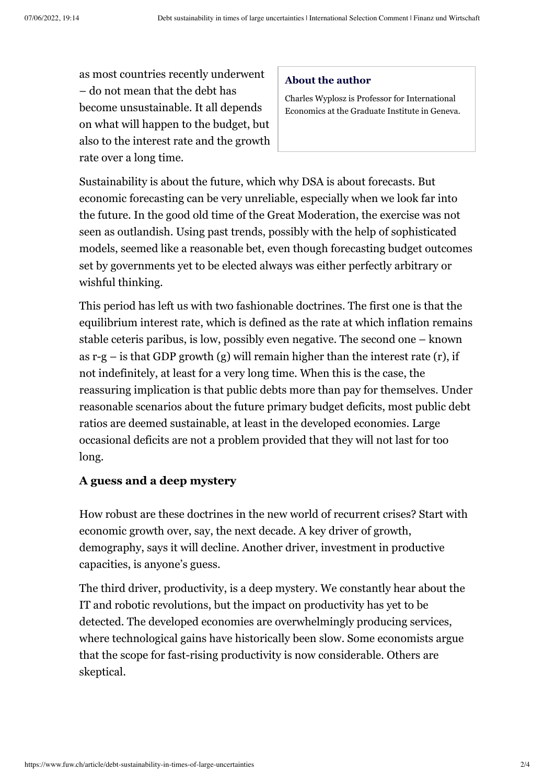as most countries recently underwent – do not mean that the debt has become unsustainable. It all depends on what will happen to the budget, but also to the interest rate and the growth rate over a long time.

#### **About the author**

Charles Wyplosz is Professor for International Economics at the Graduate Institute in Geneva.

Sustainability is about the future, which why DSA is about forecasts. But economic forecasting can be very unreliable, especially when we look far into the future. In the good old time of the Great Moderation, the exercise was not seen as outlandish. Using past trends, possibly with the help of sophisticated models, seemed like a reasonable bet, even though forecasting budget outcomes set by governments yet to be elected always was either perfectly arbitrary or wishful thinking.

This period has left us with two fashionable doctrines. The first one is that the equilibrium interest rate, which is defined as the rate at which inflation remains stable ceteris paribus, is low, possibly even negative. The second one – known as  $r-g$  – is that GDP growth (g) will remain higher than the interest rate (r), if not indefinitely, at least for a very long time. When this is the case, the reassuring implication is that public debts more than pay for themselves. Under reasonable scenarios about the future primary budget deficits, most public debt ratios are deemed sustainable, at least in the developed economies. Large occasional deficits are not a problem provided that they will not last for too long.

#### **A guess and a deep mystery**

How robust are these doctrines in the new world of recurrent crises? Start with economic growth over, say, the next decade. A key driver of growth, demography, says it will decline. Another driver, investment in productive capacities, is anyone's guess.

The third driver, productivity, is a deep mystery. We constantly hear about the IT and robotic revolutions, but the impact on productivity has yet to be detected. The developed economies are overwhelmingly producing services, where technological gains have historically been slow. Some economists argue that the scope for fast-rising productivity is now considerable. Others are skeptical.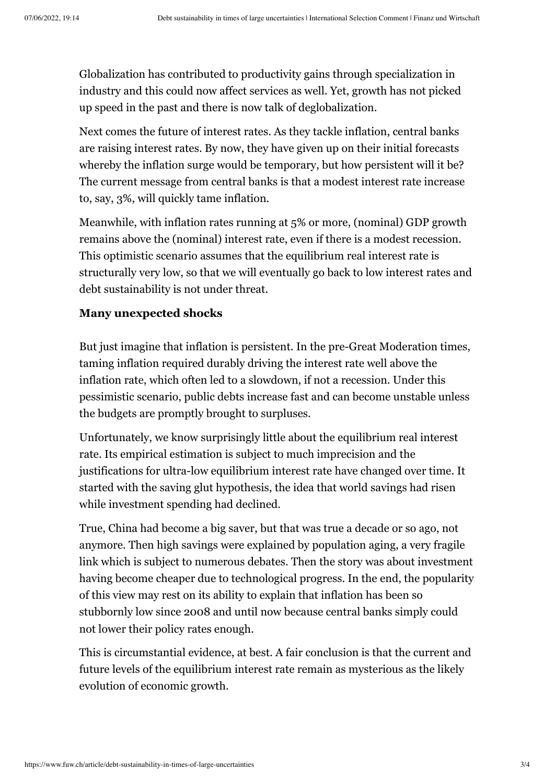Globalization has contributed to productivity gains through specialization in industry and this could now affect services as well. Yet, growth has not picked up speed in the past and there is now talk of deglobalization.

Next comes the future of interest rates. As they tackle inflation, central banks are raising interest rates. By now, they have given up on their initial forecasts whereby the inflation surge would be temporary, but how persistent will it be? The current message from central banks is that a modest interest rate increase to, say, 3%, will quickly tame inflation.

Meanwhile, with inflation rates running at 5% or more, (nominal) GDP growth remains above the (nominal) interest rate, even if there is a modest recession. This optimistic scenario assumes that the equilibrium real interest rate is structurally very low, so that we will eventually go back to low interest rates and debt sustainability is not under threat.

## **Many unexpected shocks**

But just imagine that inflation is persistent. In the pre-Great Moderation times, taming inflation required durably driving the interest rate well above the inflation rate, which often led to a slowdown, if not a recession. Under this pessimistic scenario, public debts increase fast and can become unstable unless the budgets are promptly brought to surpluses.

Unfortunately, we know surprisingly little about the equilibrium real interest rate. Its empirical estimation is subject to much imprecision and the justifications for ultra-low equilibrium interest rate have changed over time. It started with the saving glut hypothesis, the idea that world savings had risen while investment spending had declined.

True, China had become a big saver, but that was true a decade or so ago, not anymore. Then high savings were explained by population aging, a very fragile link which is subject to numerous debates. Then the story was about investment having become cheaper due to technological progress. In the end, the popularity of this view may rest on its ability to explain that inflation has been so stubbornly low since 2008 and until now because central banks simply could not lower their policy rates enough.

This is circumstantial evidence, at best. A fair conclusion is that the current and future levels of the equilibrium interest rate remain as mysterious as the likely evolution of economic growth.